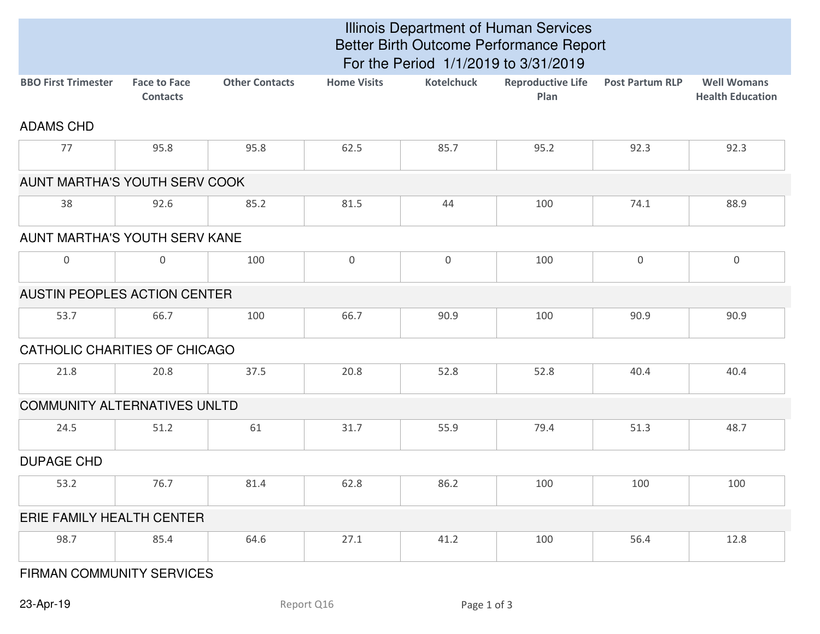|                                     |                                        | Illinois Department of Human Services<br>Better Birth Outcome Performance Report<br>For the Period 1/1/2019 to 3/31/2019 |                    |                   |                                  |                        |                                               |  |  |  |
|-------------------------------------|----------------------------------------|--------------------------------------------------------------------------------------------------------------------------|--------------------|-------------------|----------------------------------|------------------------|-----------------------------------------------|--|--|--|
| <b>BBO First Trimester</b>          | <b>Face to Face</b><br><b>Contacts</b> | <b>Other Contacts</b>                                                                                                    | <b>Home Visits</b> | <b>Kotelchuck</b> | <b>Reproductive Life</b><br>Plan | <b>Post Partum RLP</b> | <b>Well Womans</b><br><b>Health Education</b> |  |  |  |
| <b>ADAMS CHD</b>                    |                                        |                                                                                                                          |                    |                   |                                  |                        |                                               |  |  |  |
| 77                                  | 95.8                                   | 95.8                                                                                                                     | 62.5               | 85.7              | 95.2                             | 92.3                   | 92.3                                          |  |  |  |
| AUNT MARTHA'S YOUTH SERV COOK       |                                        |                                                                                                                          |                    |                   |                                  |                        |                                               |  |  |  |
| 38                                  | 92.6                                   | 85.2                                                                                                                     | 81.5               | 44                | 100                              | 74.1                   | 88.9                                          |  |  |  |
| AUNT MARTHA'S YOUTH SERV KANE       |                                        |                                                                                                                          |                    |                   |                                  |                        |                                               |  |  |  |
| $\overline{0}$                      | 0                                      | 100                                                                                                                      | $\mathbf 0$        | $\overline{0}$    | 100                              | $\mathbf 0$            | $\overline{0}$                                |  |  |  |
| AUSTIN PEOPLES ACTION CENTER        |                                        |                                                                                                                          |                    |                   |                                  |                        |                                               |  |  |  |
| 53.7                                | 66.7                                   | 100                                                                                                                      | 66.7               | 90.9              | 100                              | 90.9                   | 90.9                                          |  |  |  |
| CATHOLIC CHARITIES OF CHICAGO       |                                        |                                                                                                                          |                    |                   |                                  |                        |                                               |  |  |  |
| 21.8                                | 20.8                                   | 37.5                                                                                                                     | 20.8               | 52.8              | 52.8                             | 40.4                   | 40.4                                          |  |  |  |
| <b>COMMUNITY ALTERNATIVES UNLTD</b> |                                        |                                                                                                                          |                    |                   |                                  |                        |                                               |  |  |  |
| 24.5                                | 51.2                                   | 61                                                                                                                       | 31.7               | 55.9              | 79.4                             | 51.3                   | 48.7                                          |  |  |  |
| <b>DUPAGE CHD</b>                   |                                        |                                                                                                                          |                    |                   |                                  |                        |                                               |  |  |  |
| 53.2                                | 76.7                                   | 81.4                                                                                                                     | 62.8               | 86.2              | 100                              | 100                    | 100                                           |  |  |  |
| ERIE FAMILY HEALTH CENTER           |                                        |                                                                                                                          |                    |                   |                                  |                        |                                               |  |  |  |
| 98.7                                | 85.4                                   | 64.6                                                                                                                     | 27.1               | 41.2              | 100                              | 56.4                   | 12.8                                          |  |  |  |

## FIRMAN COMMUNITY SERVICES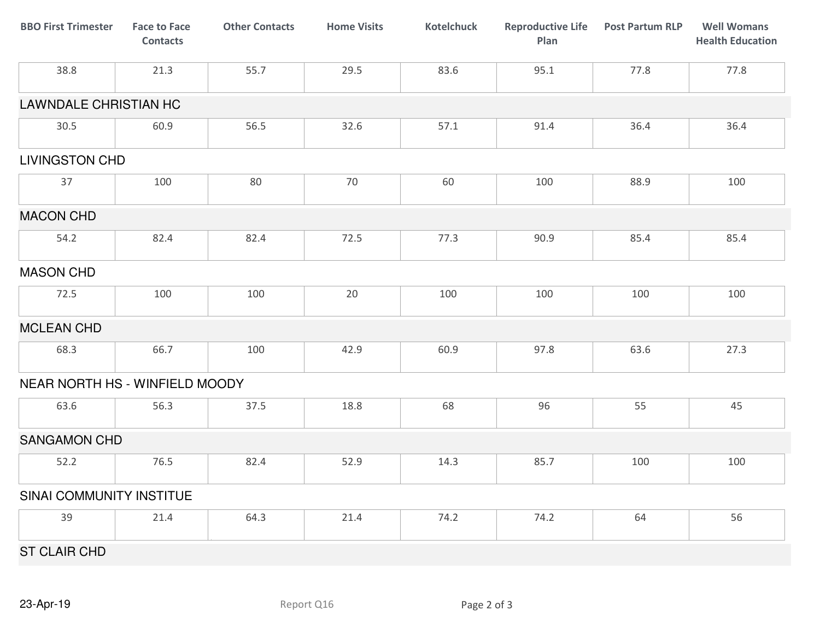| <b>BBO First Trimester</b>     | <b>Face to Face</b><br><b>Contacts</b> | <b>Other Contacts</b> | <b>Home Visits</b> | <b>Kotelchuck</b> | <b>Reproductive Life</b><br>Plan | <b>Post Partum RLP</b> | <b>Well Womans</b><br><b>Health Education</b> |
|--------------------------------|----------------------------------------|-----------------------|--------------------|-------------------|----------------------------------|------------------------|-----------------------------------------------|
| 38.8                           | 21.3                                   | 55.7                  | 29.5               | 83.6              | 95.1                             | 77.8                   | 77.8                                          |
| <b>LAWNDALE CHRISTIAN HC</b>   |                                        |                       |                    |                   |                                  |                        |                                               |
| 30.5                           | 60.9                                   | 56.5                  | 32.6               | 57.1              | 91.4                             | 36.4                   | 36.4                                          |
| <b>LIVINGSTON CHD</b>          |                                        |                       |                    |                   |                                  |                        |                                               |
| 37                             | 100                                    | 80                    | 70                 | 60                | 100                              | 88.9                   | 100                                           |
| <b>MACON CHD</b>               |                                        |                       |                    |                   |                                  |                        |                                               |
| 54.2                           | 82.4                                   | 82.4                  | 72.5               | 77.3              | 90.9                             | 85.4                   | 85.4                                          |
| <b>MASON CHD</b>               |                                        |                       |                    |                   |                                  |                        |                                               |
| 72.5                           | 100                                    | 100                   | 20                 | 100               | 100                              | 100                    | 100                                           |
| <b>MCLEAN CHD</b>              |                                        |                       |                    |                   |                                  |                        |                                               |
| 68.3                           | 66.7                                   | 100                   | 42.9               | 60.9              | 97.8                             | 63.6                   | 27.3                                          |
| NEAR NORTH HS - WINFIELD MOODY |                                        |                       |                    |                   |                                  |                        |                                               |
| 63.6                           | 56.3                                   | 37.5                  | 18.8               | 68                | 96                               | 55                     | 45                                            |
| <b>SANGAMON CHD</b>            |                                        |                       |                    |                   |                                  |                        |                                               |
| 52.2                           | 76.5                                   | 82.4                  | 52.9               | 14.3              | 85.7                             | 100                    | 100                                           |
| SINAI COMMUNITY INSTITUE       |                                        |                       |                    |                   |                                  |                        |                                               |
| 39                             | 21.4                                   | 64.3                  | 21.4               | 74.2              | 74.2                             | 64                     | 56                                            |
| <b>ST CLAIR CHD</b>            |                                        |                       |                    |                   |                                  |                        |                                               |